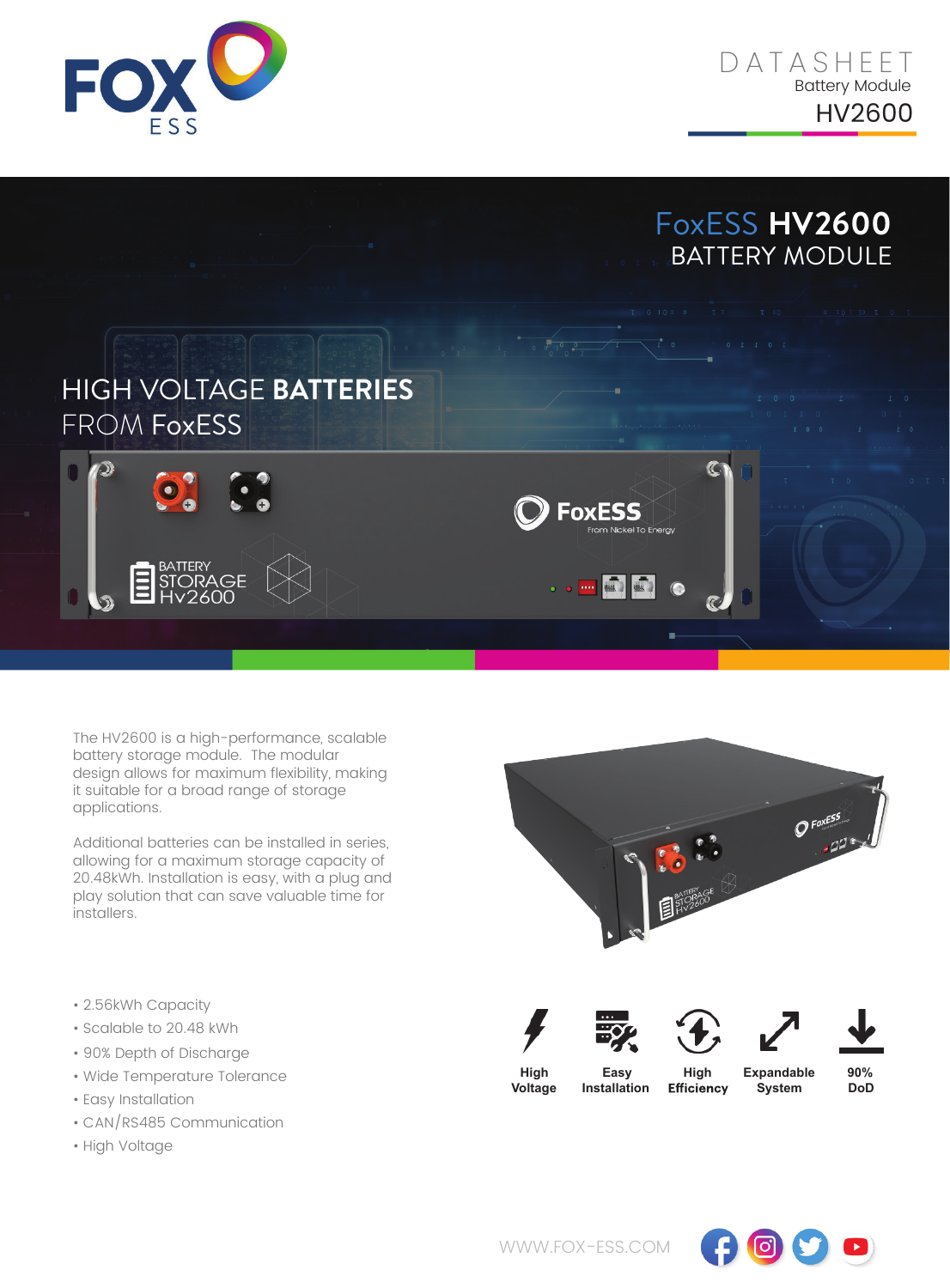





The HV2600 is a high-performance, scalable battery storage module. The modular design allows for maximum flexibility, making it suitable for a broad range of storage applications.

Additional batteries can be installed in series, allowing for a maximum storage capacity of 20.48kWh. Installation is easy, with a plug and play solution that can save valuable time for installers.

- 2.56kWh Capacity
- Scalable to 20.48 kWh
- 90% Depth of Discharge
- Wide Temperature Tolerance
- Easy Installation
- CAN/RS485 Communication
- High Voltage



 $\mathbf{o}$